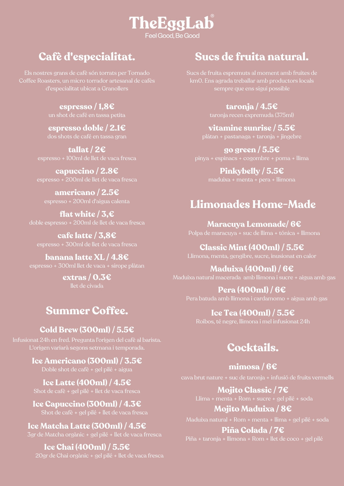## TheEggLab Feel Good, Be Good

# **Cafè d'especialitat.**

Els nostres grans de cafè són torrats per Tornado Coffee Roasters, un micro torrador artesanal de cafès d'especialitat ubicat a Granollers

**espresso / 1,8€**

## **espresso doble / 2.1€**

dos shots de café en tassa gran

**tallat / 2€** espresso + 100ml de llet de vaca fresca

**capuccino / 2.8€** espresso + 200ml de llet de vaca fresca

**americano / 2.5€** espresso + 200ml d'aigua calenta

**flat white / 3,€** doble espresso + 200ml de llet de vaca fresca

**cafe latte / 3,8€** espresso + 300ml de llet de vaca fresca

**banana latte XL / 4.8€** espresso + 300ml llet de vaca + sirope plàtan

> **extras / 0.3€** llet de civada

# **Summer Coffee.**

## **Cold Brew (300ml) / 5.5€**

Infusionat 24h en fred. Pregunta l'origen del cafè al barista. L'origen variarà segons setmana i temporada.

> **Ice Americano (300ml) / 3.5€** Doble shot de cafè + gel pilé + aigua

**Ice Latte (400ml) / 4.5€** Shot de cafè + gel pilé + llet de vaca fresca

**Ice Capuccino (300ml) / 4.3€** Shot de cafè + gel pilé + llet de vaca fresca

## **Ice Matcha Latte (300ml) / 4.5€**

3gr de Matcha orgànic + gel pilé + llet de vaca frresca

**Ice Chai (400ml) / 5.5€** 20gr de Chai orgànic + gel pilé + llet de vaca fresca

# **Sucs de fruita natural.**

Sucs de fruita espremuts al moment amb fruites de km0. Ens agrada treballar amb productors locals sempre que ens sigui possible

**taronja / 4.5€**

taronja recen expremuda (375ml)

**vitamine sunrise / 5.5€** plátan + pastanaga + taronja + jingebre

**go green / 5.5€** pinya + espinacs + cogombre + poma + llima

> **Pinkybelly / 5.5€** maduixa + menta + pera + llimona

# **Llimonades Home-Made**

**Maracuya Lemonade/ 6€** Polpa de maracuya + suc de llima + tónica + llimona

**Classic Mint (400ml) / 5.5€** Llimona, menta, gengibre, sucre, inusionat en calor

#### **Maduixa (400ml) / 6€** Maduixa natural macerada amb llimona i sucre + aigua amb gas

**Pera (400ml) / 6€**

Pera batuda amb llimona i cardamomo + aigua amb gas

## **Ice Tea (400ml) / 5.5€**

Roibos, té negre, llimona i mel infusionat 24h

# **Cocktails.**

**mimosa / 6€**

**Mojito Classic / 7€**

Llima + menta + Rom + sucre + gel pilé + soda

**Mojito Maduixa / 8€**

Maduixa natural + Rom + menta + llima + gel pilé + soda

**Piña Colada / 7€**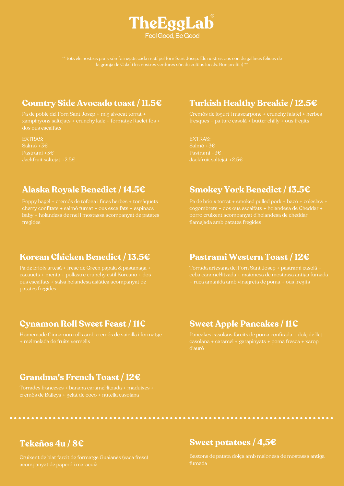

#### **Country Side Avocado toast / 11.5€**

EXTRAS: Salmó +3€ Pastrami +3€ Jackfruit saltejat +2.5€

## **Turkish Healthy Breakie / 12.5€**

EXTRAS: Salmó +3€ Pastrami +3€ Jackfruit saltejat +2.5€

### **Alaska Royale Benedict / 14.5€**

Poppy bagel + cremós de tòfona i fines herbes + tomàquets fregides

#### **Smokey York Benedict / 13.5€**

flamejada amb patates fregides

#### **Korean Chicken Benedict / 13.5€**

ous escalfats + salsa holandesa asiàtica acompanyat de patates fregides

## **Pastrami Western Toast / 12€**

+ ruca amanida amb vinagreta de poma + ous fregits

## **Cynamon Roll Sweet Feast / 11€**

Homemade Cinnamon rolls amb cremós de vainilla i formatge + melmelada de fruits vermells

#### **Sweet Apple Pancakes / 11€**

d'auró

#### **Grandma's French Toast / 12€**

Torrades franceses + banana caramel·litzada + maduixes +

#### **Sweet potatoes / 4,5€**

fumada

**Tekeños 4u / 8€**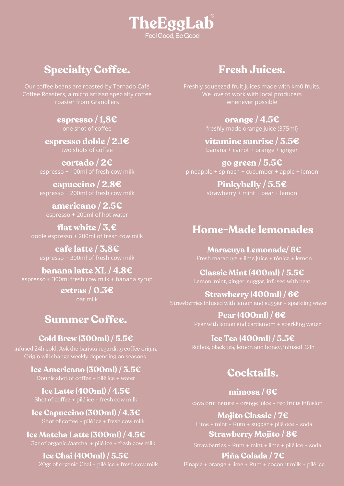

# **Specialty Coffee.**

Our coffee beans are roasted by Tornado Café Coffee Roasters, a micro artisan specialty coffee roaster from Granollers

> **espresso / 1,8€** one shot of coffee

**espresso doble / 2.1€** two shots of coffee

**cortado / 2€** espresso + 100ml of fresh cow milk

**capuccino / 2.8€** espresso + 200ml of fresh cow milk

**americano / 2.5€** espresso + 200ml of hot water

**flat** white  $/ 3, \infty$ doble espresso + 200ml of fresh cow milk

**cafe latte / 3,8€** espresso + 300ml of fresh cow milk

**banana latte XL / 4.8€** espresso + 300ml fresh cow milk + banana syrup

> **extras / 0.3€** oat milk

## **Summer Coffee.**

**Cold Brew (300ml) / 5.5€**

infused 24h cold. Ask the barista regarding coffee origin. Origin will change weekly depending on seasons.

**Ice Americano (300ml) / 3.5€**

**Ice Latte (400ml) / 4.5€**

**Ice Capuccino (300ml) / 4.3€**

**Ice Matcha Latte (300ml) / 4.5€**

**Ice Chai (400ml) / 5.5€** 20gr of organic Chai + pilé ice + fresh cow milk

## **Fresh Juices.**

Freshly squeezed fruit juices made with km0 fruits. We love to work with local producers whenever possible

**orange / 4.5€**

freshly made orange juice (375ml)

**vitamine sunrise / 5.5€** banana + carrot + orange + ginger

**go green / 5.5€** pineapple + spinach + cucumber + apple + lemon

> **Pinkybelly / 5.5€** strawberry + mint + pear + lemon

## **Home-Made lemonades**

**Maracuya Lemonade/ 6€**

**Classic Mint (400ml) / 5.5€** Lemon, mint, ginger, suggar, infused with heat

**Strawberry (400ml) / 6€** Strawberries infused with lemon and suggar + sparkling water

> **Pear (400ml) / 6€** Pear with lemon and cardamom + sparkling water

**Ice Tea (400ml) / 5.5€**

# **Cocktails.**

**mimosa / 6€** cava brut nature + orange juice + red fruits infusion

**Mojito Classic / 7€**

**Strawberry Mojito / 8€**

#### **Piña Colada / 7€**

Pinaple + orange + lime + Rum + coconut milk + pilé ice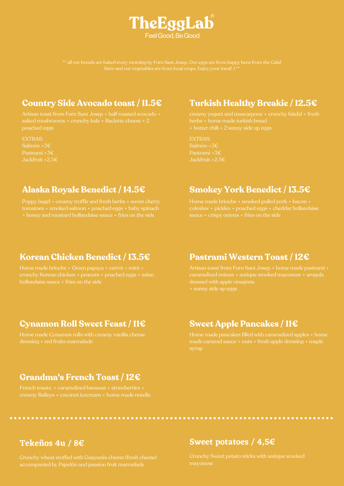

#### **Country Side Avocado toast / 11.5€**

poached eggs

EXTRAS: Salmón +3€ Pastrami +3€ Jackfruit +2.5€

## **Turkish Healthy Breakie / 12.5€**

+ butter chili + 2 sunny side up eggs

EXTRAS: Salmón +3€ Pastrami +3€ Jackfruit +2.5€

### **Alaska Royale Benedict / 14.5€**

Poppy bagel + creamy truffle and fresh herbs + sweet cherry

#### **Smokey York Benedict / 13.5€**

#### **Korean Chicken Benedict / 13.5€**

hollandaise sauce + fries on the side

#### **Pastrami Western Toast / 12€**

dressed with apple vinagrete

#### **Cynamon Roll Sweet Feast / 11€**

Home made Cynamon rolls with creamy vanilla cheese dressing + red fruits marmalade

#### **Sweet Apple Pancakes / 11€**

Home made pancakes filled with caramelized apples + home made caramel sauce + nuts + fresh apple dressing + maple

#### **Grandma's French Toast / 12€**

French toasts + caramelized bananas + strawberries +

#### **Tekeños 4u / 8€**

#### **Sweet potatoes / 4,5€**

mayonese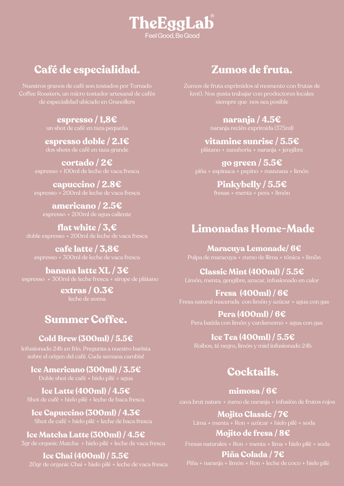# TheEggLab Feel Good, Be Good

# **Café de especialidad.**

Nuestros granos de café son tostados por Tornado de especialidad ubicado en Granollers

**espresso / 1,8€**

**espresso doble / 2.1€** dos shots de café en taza grande

**cortado / 2€** espresso + 100ml de leche de vaca fresca

**capuccino / 2.8€** espresso + 200ml de leche de vaca fresca

**americano / 2.5€** espresso + 200ml de agua caliente

**flat white / 3,€** doble espresso + 200ml de leche de vaca fresca

**cafe latte / 3,8€** espresso + 300ml de leche de vaca fresca

**banana latte XL / 3€** espresso + 300ml de leche fresca + sirope de plátano

> **extras / 0.3€** leche de avena

# **Summer Coffee.**

## **Cold Brew (300ml) / 5.5€**

Infusionado 24h en frío. Pregunta a nuestro barista sobre el origen del café. Cada semana cambia!

**Ice Americano (300ml) / 3.5€** Doble shot de café + hielo pilé + agua

**Ice Latte (400ml) / 4.5€**

**Ice Capuccino (300ml) / 4.3€**

**Ice Matcha Latte (300ml) / 4.5€**

#### **Ice Chai (400ml) / 5.5€**

20gr de organic Chai + hielo pilé + leche de vaca fresca

# **Zumos de fruta.**

Zumos de fruta exprimidos al momento con frutas de km0. Nos gusta trabajar con productores locales siempre que nos sea posible

**naranja / 4.5€**

**vitamine sunrise / 5.5€** plátano + zanahoria + naranja + jengibre

**go green / 5.5€** piña + espinaca + pepino + manzana + limón

## **Pinkybelly / 5.5€**

# **Limonadas Home-Made**

**Maracuya Lemonade/ 6€** Pulpa de maracuya + zumo de llima + tónica + lim´ón

**Classic Mint (400ml) / 5.5€**

Limón, menta, gengibre, azucar, infusionado en calor

**Fresa (400ml) / 6€**

Fresa natural macerada con limón y azúcar + agua con gas

**Pera (400ml) / 6€** Pera batida con limón y cardamomo + agua con gas

**Ice Tea (400ml) / 5.5€** Roibos, té negro, limón y miel infusionado 24h

# **Cocktails.**

**mimosa / 6€**

cava brut nature + zumo de naranja + infusión de frutos rojos

**Mojito Classic / 7€**

**Mojito de fresa / 8€**

**Piña Colada / 7€**